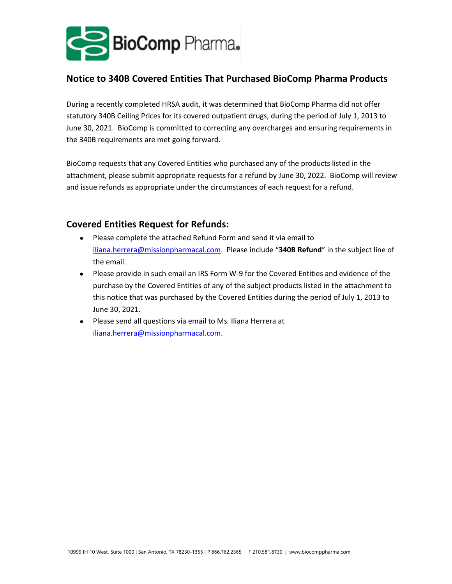

## **Notice to 340B Covered Entities That Purchased BioComp Pharma Products**

During a recently completed HRSA audit, it was determined that BioComp Pharma did not offer statutory 340B Ceiling Prices for its covered outpatient drugs, during the period of July 1, 2013 to June 30, 2021. BioComp is committed to correcting any overcharges and ensuring requirements in the 340B requirements are met going forward.

BioComp requests that any Covered Entities who purchased any of the products listed in the attachment, please submit appropriate requests for a refund by June 30, 2022. BioComp will review and issue refunds as appropriate under the circumstances of each request for a refund.

## **Covered Entities Request for Refunds:**

- Please complete the attached Refund Form and send it via email to [iliana.herrera@missionpharmacal.com.](mailto:iliana.herrera@missionpharmacal.com) Please include "**340B Refund**" in the subject line of the email.
- Please provide in such email an IRS Form W-9 for the Covered Entities and evidence of the purchase by the Covered Entities of any of the subject products listed in the attachment to this notice that was purchased by the Covered Entities during the period of July 1, 2013 to June 30, 2021.
- Please send all questions via email to Ms. Iliana Herrera at [iliana.herrera@missionpharmacal.com.](mailto:iliana.herrera@missionpharmacal.com)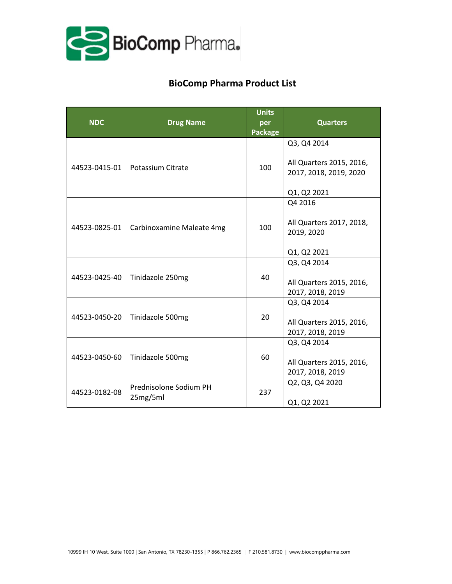

## **BioComp Pharma Product List**

| <b>NDC</b>    | <b>Drug Name</b>                   | <b>Units</b><br>per<br><b>Package</b> | <b>Quarters</b>                                                                  |  |
|---------------|------------------------------------|---------------------------------------|----------------------------------------------------------------------------------|--|
| 44523-0415-01 | Potassium Citrate                  | 100                                   | Q3, Q4 2014<br>All Quarters 2015, 2016,<br>2017, 2018, 2019, 2020<br>Q1, Q2 2021 |  |
| 44523-0825-01 | Carbinoxamine Maleate 4mg          | 100                                   | Q4 2016<br>All Quarters 2017, 2018,<br>2019, 2020<br>Q1, Q2 2021                 |  |
| 44523-0425-40 | Tinidazole 250mg                   | 40                                    | Q3, Q4 2014<br>All Quarters 2015, 2016,<br>2017, 2018, 2019                      |  |
| 44523-0450-20 | Tinidazole 500mg                   | 20                                    | Q3, Q4 2014<br>All Quarters 2015, 2016,<br>2017, 2018, 2019                      |  |
| 44523-0450-60 | Tinidazole 500mg                   | 60                                    | Q3, Q4 2014<br>All Quarters 2015, 2016,<br>2017, 2018, 2019                      |  |
| 44523-0182-08 | Prednisolone Sodium PH<br>25mg/5ml | 237                                   | Q2, Q3, Q4 2020<br>Q1, Q2 2021                                                   |  |